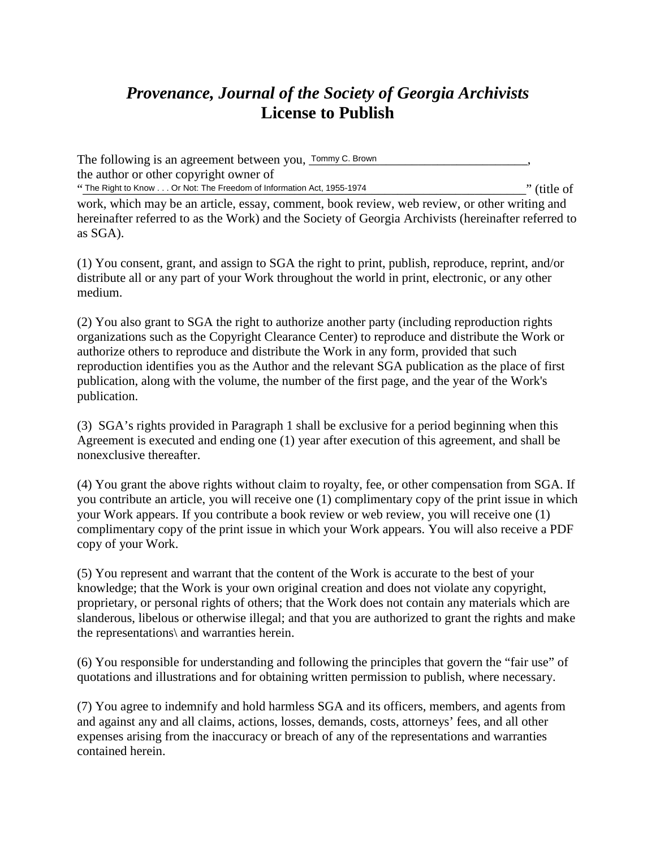## *Provenance, Journal of the Society of Georgia Archivists* **License to Publish**

The following is an agreement between you,  $\frac{Tommy C. Brown$  [*mmy C. Brown*] the author or other copyright owner of "The Right to Know . . . Or Not: The Freedom of Information Act, 1955-1974 "The Right to Know . . . Or Not: The Freedom of Information Act, 1955-1974"

work, which may be an article, essay, comment, book review, web review, or other writing and hereinafter referred to as the Work) and the Society of Georgia Archivists (hereinafter referred to as SGA).

(1) You consent, grant, and assign to SGA the right to print, publish, reproduce, reprint, and/or distribute all or any part of your Work throughout the world in print, electronic, or any other medium.

(2) You also grant to SGA the right to authorize another party (including reproduction rights organizations such as the Copyright Clearance Center) to reproduce and distribute the Work or authorize others to reproduce and distribute the Work in any form, provided that such reproduction identifies you as the Author and the relevant SGA publication as the place of first publication, along with the volume, the number of the first page, and the year of the Work's publication.

(3) SGA's rights provided in Paragraph 1 shall be exclusive for a period beginning when this Agreement is executed and ending one (1) year after execution of this agreement, and shall be nonexclusive thereafter.

(4) You grant the above rights without claim to royalty, fee, or other compensation from SGA. If you contribute an article, you will receive one (1) complimentary copy of the print issue in which your Work appears. If you contribute a book review or web review, you will receive one (1) complimentary copy of the print issue in which your Work appears. You will also receive a PDF copy of your Work.

(5) You represent and warrant that the content of the Work is accurate to the best of your knowledge; that the Work is your own original creation and does not violate any copyright, proprietary, or personal rights of others; that the Work does not contain any materials which are slanderous, libelous or otherwise illegal; and that you are authorized to grant the rights and make the representations\ and warranties herein.

(6) You responsible for understanding and following the principles that govern the "fair use" of quotations and illustrations and for obtaining written permission to publish, where necessary.

(7) You agree to indemnify and hold harmless SGA and its officers, members, and agents from and against any and all claims, actions, losses, demands, costs, attorneys' fees, and all other expenses arising from the inaccuracy or breach of any of the representations and warranties contained herein.